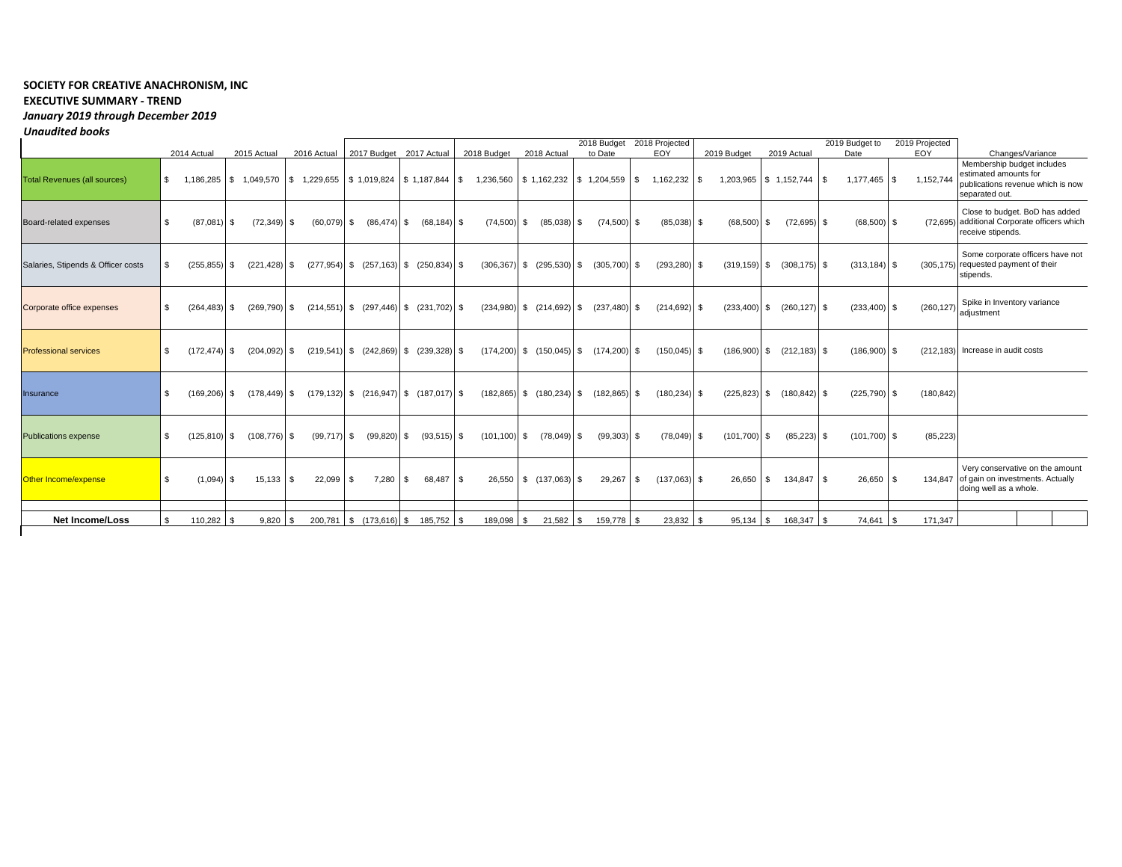## **SOCIETY FOR CREATIVE ANACHRONISM, INC EXECUTIVE SUMMARY - TREND** *January 2019 through December 2019 Unaudited books*

|                                     |                | 2014 Actual<br>2015 Actual |    |                 |      |                               |      | 2018 Budget     |                                                                                    | 2018 Budget<br>to Date |                                                       | 2018 Projected<br>EOY |                 |      |                 | 2019 Actual |                                              | 2019 Budget to          | 2019 Projected<br>EOY | Changes/Variance  |                  |                                                                                                            |
|-------------------------------------|----------------|----------------------------|----|-----------------|------|-------------------------------|------|-----------------|------------------------------------------------------------------------------------|------------------------|-------------------------------------------------------|-----------------------|-----------------|------|-----------------|-------------|----------------------------------------------|-------------------------|-----------------------|-------------------|------------------|------------------------------------------------------------------------------------------------------------|
| <b>Total Revenues (all sources)</b> | $\mathbb{S}$   | 1,186,285                  |    |                 |      | 2016 Actual                   |      |                 | 2017 Budget 2017 Actual<br>$$1,049,570$ $$1,229,655$ $$1,019,824$ $$1,187,844$ $$$ |                        | 2018 Actual<br>1,236,560 \$ 1,162,232 \$ 1,204,559 \$ |                       |                 |      | 1,162,232       | \$.         | 2019 Budget<br>1,203,965   \$ 1,152,744   \$ |                         |                       | Date<br>1,177,465 | 1,152,744<br>-S  | Membership budget includes<br>estimated amounts for<br>publications revenue which is now<br>separated out. |
| Board-related expenses              | \$             | (87,081)                   | S. | $(72, 349)$ \$  |      | (60,079)                      | - \$ | $(86, 474)$ \$  | $(68, 184)$ \$                                                                     | $(74,500)$ \$          | (85,038)                                              | l \$                  | $(74,500)$ \$   |      | $(85,038)$ \$   |             | (68, 500)                                    | - \$                    | $(72, 695)$ \$        | (68, 500)         | -S               | Close to budget. BoD has added<br>(72,695) additional Corporate officers which<br>receive stipends.        |
| Salaries, Stipends & Officer costs  | \$.            | (255, 855)                 | S. | $(221, 428)$ \$ |      | $(277,954)$ \$ $(257,163)$ \$ |      |                 | $(250, 834)$ \$                                                                    |                        | $(306, 367)$ \$ $(295, 530)$                          | l S                   | $(305,700)$ \$  |      | $(293, 280)$ \$ |             | $(319, 159)$ \$                              | $(308, 175)$ \$         |                       | $(313, 184)$ \$   |                  | Some corporate officers have not<br>(305,175) requested payment of their<br>stipends.                      |
| Corporate office expenses           | \$             | (264.483)                  | S. | $(269, 790)$ \$ |      |                               |      |                 | $(214,551)$ \$ $(297,446)$ \$ $(231,702)$ \$                                       |                        | $(234,980)$ \$ $(214,692)$                            | <b>S</b>              | $(237.480)$ \$  |      | $(214, 692)$ \$ |             | (233, 400)                                   | $(260, 127)$ \$<br>S.   |                       | $(233, 400)$ \$   | (260, 127)       | Spike in Inventory variance<br>adiustment                                                                  |
| <b>Professional services</b>        | \$             | $(172.474)$ \$             |    | $(204.092)$ \$  |      | $(219,541)$ \$ $(242,869)$ \$ |      |                 | $(239, 328)$ \$                                                                    |                        | $(174.200)$ \$ $(150.045)$ \$                         |                       | $(174.200)$ \$  |      | $(150, 045)$ \$ |             | (186,900)                                    | $(212, 183)$ \$<br>- \$ |                       | (186,900)         | -S               | (212,183) Increase in audit costs                                                                          |
| Insurance                           | \$             | (169.206)                  | S. | $(178, 449)$ \$ |      |                               |      |                 | $(179, 132)$ \$ $(216, 947)$ \$ $(187, 017)$ \$                                    |                        | $(182,865)$ \$ $(180,234)$                            | l \$                  | $(182, 865)$ \$ |      | $(180, 234)$ \$ |             | (225, 823)                                   | $(180, 842)$ \$<br>- \$ |                       | (225, 790)        | (180, 842)<br>-S |                                                                                                            |
| <b>Publications expense</b>         | \$             | $(125.810)$ \$             |    | $(108, 776)$ \$ |      | $(99, 717)$ \$                |      | $(99, 820)$ \$  | $(93,515)$ \$                                                                      | $(101, 100)$ \$        | $(78,049)$ \$                                         |                       | (99, 303)       | l \$ | $(78,049)$ \$   |             | $(101, 700)$ \$                              |                         | $(85, 223)$ \$        | $(101, 700)$ \$   | (85, 223)        |                                                                                                            |
| Other Income/expense                | S.             | (1,094)                    | S. | $15,133$ \$     |      | 22,099                        |      | 7,280           | 68,487 \$<br>\$                                                                    |                        | 26,550 \$ (137,063) \$                                |                       | 29,267          | l \$ | $(137,063)$ \$  |             | 26,650                                       | 134,847 \$<br>l S       |                       | 26,650            | -S               | Very conservative on the amount<br>134.847 of gain on investments. Actually<br>doing well as a whole.      |
| <b>Net Income/Loss</b>              | $\mathfrak{L}$ | 110,282                    | \$ | 9,820           | l \$ | 200,781                       | \$   | $(173, 616)$ \$ | 185,752 \$                                                                         | 189,098 \$             | 21,582                                                | <b>S</b>              | 159,778         |      | 23,832          |             | 95,134                                       | 168,347<br>l S          | l \$                  | 74,641            | 171,347          |                                                                                                            |